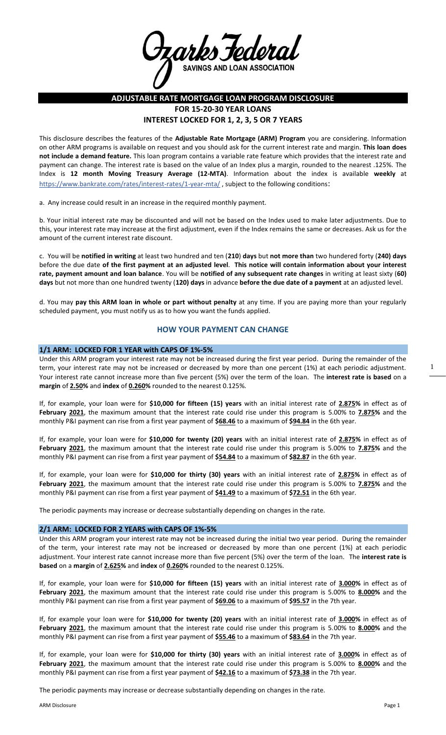arks Tedera **SAVINGS AND LOAN ASSOCIATION** 

**ADJUSTABLE RATE MORTGAGE LOAN PROGRAM DISCLOSURE**

**FOR 15-20-30 YEAR LOANS**

**INTEREST LOCKED FOR 1, 2, 3, 5 OR 7 YEARS**

This disclosure describes the features of the **Adjustable Rate Mortgage (ARM) Program** you are considering. Information on other ARM programs is available on request and you should ask for the current interest rate and margin. **This loan does not include a demand feature.** This loan program contains a variable rate feature which provides that the interest rate and payment can change. The interest rate is based on the value of an Index plus a margin, rounded to the nearest .125%. The Index is **12 month Moving Treasury Average (12-MTA)**. Information about the index is available **weekly** at <https://www.bankrate.com/rates/interest-rates/1-year-mta/>, subject to the following conditions:

a. Any increase could result in an increase in the required monthly payment.

b. Your initial interest rate may be discounted and will not be based on the Index used to make later adjustments. Due to this, your interest rate may increase at the first adjustment, even if the Index remains the same or decreases. Ask us for the amount of the current interest rate discount.

c. You will be **notified in writing** at least two hundred and ten (**210**) **days** but **not more than** two hundered forty (**240) days** before the due date **of the first payment at an adjusted level**. **This notice will contain information about your interest rate, payment amount and loan balance**. You will be **notified of any subsequent rate changes** in writing at least sixty (**60) days** but not more than one hundred twenty (**120) days** in advance **before the due date of a payment** at an adjusted level.

d. You may **pay this ARM loan in whole or part without penalty** at any time. If you are paying more than your regularly scheduled payment, you must notify us as to how you want the funds applied.

# **HOW YOUR PAYMENT CAN CHANGE**

### **1/1 ARM: LOCKED FOR 1 YEAR with CAPS OF 1%-5%**

Under this ARM program your interest rate may not be increased during the first year period. During the remainder of the term, your interest rate may not be increased or decreased by more than one percent (1%) at each periodic adjustment. Your interest rate cannot increase more than five percent (5%) over the term of the loan. The **interest rate is based** on a **margin** of **2.50%** and **index** of **0.260%** rounded to the nearest 0.125%.

If, for example, your loan were for **\$10,000 for fifteen (15) years** with an initial interest rate of **2.875%** in effect as of **February 2021**, the maximum amount that the interest rate could rise under this program is 5.00% to **7.875%** and the monthly P&I payment can rise from a first year payment of **\$68.46** to a maximum of **\$94.84** in the 6th year.

If, for example, your loan were for **\$10,000 for twenty (20) years** with an initial interest rate of **2.875%** in effect as of **February 2021**, the maximum amount that the interest rate could rise under this program is 5.00% to **7.875%** and the monthly P&I payment can rise from a first year payment of **\$54.84** to a maximum of **\$82.87** in the 6th year.

If, for example, your loan were for **\$10,000 for thirty (30) years** with an initial interest rate of **2.875%** in effect as of **February 2021**, the maximum amount that the interest rate could rise under this program is 5.00% to **7.875%** and the monthly P&I payment can rise from a first year payment of **\$41.49** to a maximum of **\$72.51** in the 6th year.

The periodic payments may increase or decrease substantially depending on changes in the rate.

## **2/1 ARM: LOCKED FOR 2 YEARS with CAPS OF 1%-5%**

Under this ARM program your interest rate may not be increased during the initial two year period. During the remainder of the term, your interest rate may not be increased or decreased by more than one percent (1%) at each periodic adjustment. Your interest rate cannot increase more than five percent (5%) over the term of the loan. The **interest rate is based** on a **margin** of **2.625%** and **index** of **0.260%** rounded to the nearest 0.125%.

If, for example, your loan were for **\$10,000 for fifteen (15) years** with an initial interest rate of **3.000%** in effect as of **February 2021**, the maximum amount that the interest rate could rise under this program is 5.00% to **8.000%** and the monthly P&I payment can rise from a first year payment of **\$69.06** to a maximum of **\$95.57** in the 7th year.

If, for example your loan were for **\$10,000 for twenty (20) years** with an initial interest rate of **3.000%** in effect as of **February 2021**, the maximum amount that the interest rate could rise under this program is 5.00% to **8.000%** and the monthly P&I payment can rise from a first year payment of **\$55.46** to a maximum of **\$83.64** in the 7th year.

If, for example, your loan were for **\$10,000 for thirty (30) years** with an initial interest rate of **3.000%** in effect as of **February 2021**, the maximum amount that the interest rate could rise under this program is 5.00% to **8.000%** and the monthly P&I payment can rise from a first year payment of **\$42.16** to a maximum of **\$73.38** in the 7th year.

The periodic payments may increase or decrease substantially depending on changes in the rate.